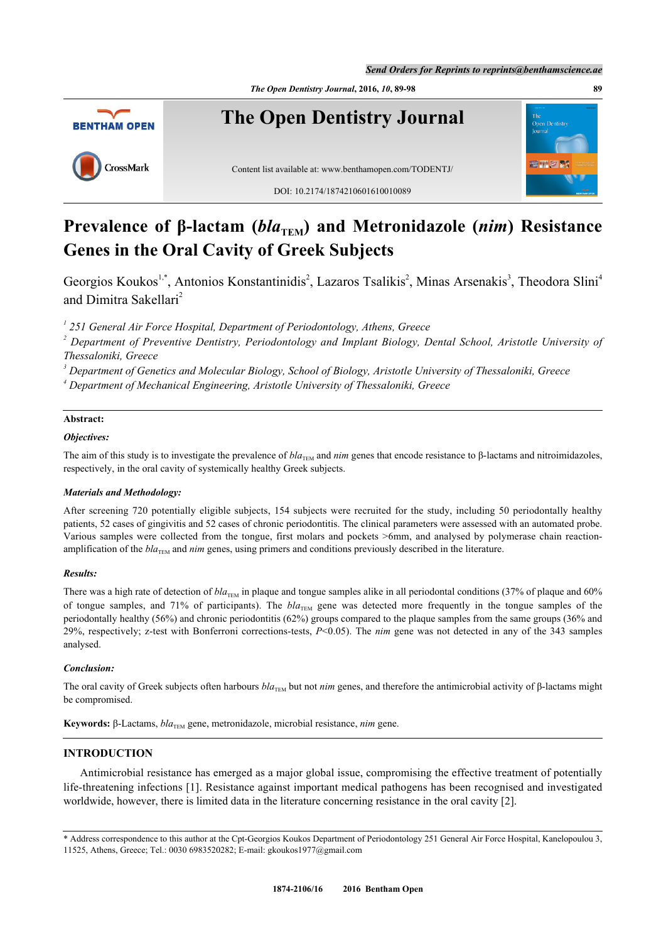*The Open Dentistry Journal***, 2016,** *10***, 89-98 89**



# **Prevalence of β-lactam (***bla***<sub>TEM</sub>) and Metronidazole (***nim***) Resistance Genes in the Oral Cavity of Greek Subjects**

Georgios Koukos<sup>[1](#page-0-0)[,\\*](#page-0-1)</sup>, Antonios Konstantinidis<sup>[2](#page-0-2)</sup>, Lazaros Tsalikis<sup>2</sup>, Minas Arsenakis<sup>[3](#page-0-3)</sup>, Theodora Slini<sup>[4](#page-0-4)</sup> and Dimitra Sakellari<sup>[2](#page-0-2)</sup>

<span id="page-0-0"></span><sup>1</sup> 251 General Air Force Hospital, Department of Periodontology, Athens, Greece

<span id="page-0-2"></span><sup>2</sup> Department of Preventive Dentistry, Periodontology and Implant Biology, Dental School, Aristotle University of *Thessaloniki, Greece*

<span id="page-0-3"></span>*3 Department of Genetics and Molecular Biology, School of Biology, Aristotle University of Thessaloniki, Greece*

<span id="page-0-4"></span>*4 Department of Mechanical Engineering, Aristotle University of Thessaloniki, Greece*

# **Abstract:**

# *Objectives:*

The aim of this study is to investigate the prevalence of  $bla_{\text{TEM}}$  and *nim* genes that encode resistance to  $\beta$ -lactams and nitroimidazoles, respectively, in the oral cavity of systemically healthy Greek subjects.

### *Materials and Methodology:*

After screening 720 potentially eligible subjects, 154 subjects were recruited for the study, including 50 periodontally healthy patients, 52 cases of gingivitis and 52 cases of chronic periodontitis. The clinical parameters were assessed with an automated probe. Various samples were collected from the tongue, first molars and pockets >6mm, and analysed by polymerase chain reactionamplification of the *bla*<sub>TEM</sub> and *nim* genes, using primers and conditions previously described in the literature.

### *Results:*

There was a high rate of detection of  $bla_{\text{TEM}}$  in plaque and tongue samples alike in all periodontal conditions (37% of plaque and 60% of tongue samples, and 71% of participants). The  $bla_{THM}$  gene was detected more frequently in the tongue samples of the periodontally healthy (56%) and chronic periodontitis (62%) groups compared to the plaque samples from the same groups (36% and 29%, respectively; z-test with Bonferroni corrections-tests, *P*<0.05). The *nim* gene was not detected in any of the 343 samples analysed.

### *Conclusion:*

The oral cavity of Greek subjects often harbours  $bla_{\text{TEM}}$  but not *nim* genes, and therefore the antimicrobial activity of β-lactams might be compromised.

**Keywords:** β-Lactams,  $bla$ <sub>TEM</sub> gene, metronidazole, microbial resistance, *nim* gene.

# **INTRODUCTION**

Antimicrobial resistance has emerged as a major global issue, compromising the effective treatment of potentially life-threatening infections [[1\]](#page-7-0). Resistance against important medical pathogens has been recognised and investigated worldwide, however, there is limited data in the literature concerning resistance in the oral cavity [\[2](#page-7-1)].

<span id="page-0-1"></span><sup>\*</sup> Address correspondence to this author at the Cpt-Georgios Koukos Department of Periodontology 251 General Air Force Hospital, Kanelopoulou 3, 11525, Athens, Greece; Tel.: 0030 6983520282; E-mail: [gkoukos1977@gmail.com](mailto:gkoukos1977@gmail.com)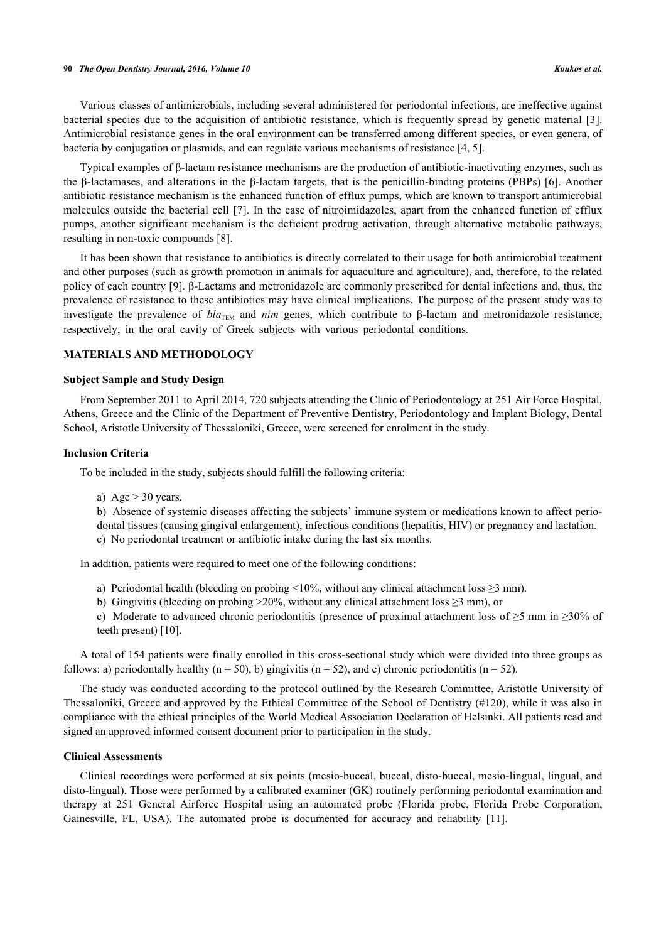#### **90** *The Open Dentistry Journal, 2016, Volume 10 Koukos et al.*

Various classes of antimicrobials, including several administered for periodontal infections, are ineffective against bacterial species due to the acquisition of antibiotic resistance, which is frequently spread by genetic material [[3\]](#page-7-2). Antimicrobial resistance genes in the oral environment can be transferred among different species, or even genera, of bacteria by conjugation or plasmids, and can regulate various mechanisms of resistance [\[4](#page-7-3), [5](#page-7-4)].

Typical examples of β-lactam resistance mechanisms are the production of antibiotic-inactivating enzymes, such as the β-lactamases, and alterations in the β-lactam targets, that is the penicillin-binding proteins (PBPs) [[6\]](#page-7-5). Another antibiotic resistance mechanism is the enhanced function of efflux pumps, which are known to transport antimicrobial molecules outside the bacterial cell [[7](#page-7-6)]. In the case of nitroimidazoles, apart from the enhanced function of efflux pumps, another significant mechanism is the deficient prodrug activation, through alternative metabolic pathways, resulting in non-toxic compounds [\[8](#page-7-7)].

It has been shown that resistance to antibiotics is directly correlated to their usage for both antimicrobial treatment and other purposes (such as growth promotion in animals for aquaculture and agriculture), and, therefore, to the related policy of each country [[9\]](#page-7-8). β-Lactams and metronidazole are commonly prescribed for dental infections and, thus, the prevalence of resistance to these antibiotics may have clinical implications. The purpose of the present study was to investigate the prevalence of  $bla_{\text{TFM}}$  and *nim* genes, which contribute to β-lactam and metronidazole resistance, respectively, in the oral cavity of Greek subjects with various periodontal conditions.

# **MATERIALS AND METHODOLOGY**

## **Subject Sample and Study Design**

From September 2011 to April 2014, 720 subjects attending the Clinic of Periodontology at 251 Air Force Hospital, Athens, Greece and the Clinic of the Department of Preventive Dentistry, Periodontology and Implant Biology, Dental School, Aristotle University of Thessaloniki, Greece, were screened for enrolment in the study.

#### **Inclusion Criteria**

To be included in the study, subjects should fulfill the following criteria:

- a) Age  $> 30$  years.
- b) Absence of systemic diseases affecting the subjects' immune system or medications known to affect perio-

dontal tissues (causing gingival enlargement), infectious conditions (hepatitis, HIV) or pregnancy and lactation.

c) No periodontal treatment or antibiotic intake during the last six months.

In addition, patients were required to meet one of the following conditions:

- a) Periodontal health (bleeding on probing <10%, without any clinical attachment loss  $\geq$ 3 mm).
- b) Gingivitis (bleeding on probing  $>20\%$ , without any clinical attachment loss  $\geq 3$  mm), or
- c) Moderate to advanced chronic periodontitis (presence of proximal attachment loss of ≥5 mm in ≥30% of teeth present) [[10\]](#page-7-9).

A total of 154 patients were finally enrolled in this cross-sectional study which were divided into three groups as follows: a) periodontally healthy ( $n = 50$ ), b) gingivitis ( $n = 52$ ), and c) chronic periodontitis ( $n = 52$ ).

The study was conducted according to the protocol outlined by the Research Committee, Aristotle University of Thessaloniki, Greece and approved by the Ethical Committee of the School of Dentistry (#120), while it was also in compliance with the ethical principles of the World Medical Association Declaration of Helsinki. All patients read and signed an approved informed consent document prior to participation in the study.

# **Clinical Assessments**

Clinical recordings were performed at six points (mesio-buccal, buccal, disto-buccal, mesio-lingual, lingual, and disto-lingual). Those were performed by a calibrated examiner (GK) routinely performing periodontal examination and therapy at 251 General Airforce Hospital using an automated probe (Florida probe, Florida Probe Corporation, Gainesville, FL, USA). The automated probe is documented for accuracy and reliability [\[11](#page-7-10)].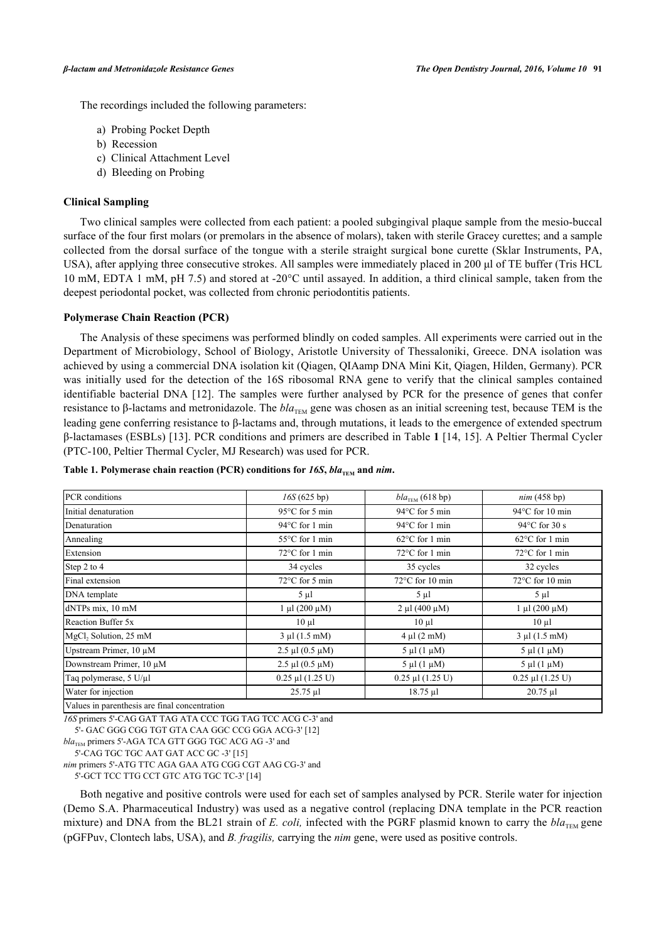The recordings included the following parameters:

- a) Probing Pocket Depth
- b) Recession
- c) Clinical Attachment Level
- d) Bleeding on Probing

# **Clinical Sampling**

Two clinical samples were collected from each patient: a pooled subgingival plaque sample from the mesio-buccal surface of the four first molars (or premolars in the absence of molars), taken with sterile Gracey curettes; and a sample collected from the dorsal surface of the tongue with a sterile straight surgical bone curette (Sklar Instruments, PA, USA), after applying three consecutive strokes. All samples were immediately placed in 200 µl of TE buffer (Tris HCL 10 mM, EDTA 1 mM, pH 7.5) and stored at -20°C until assayed. In addition, a third clinical sample, taken from the deepest periodontal pocket, was collected from chronic periodontitis patients.

# **Polymerase Chain Reaction (PCR)**

The Analysis of these specimens was performed blindly on coded samples. All experiments were carried out in the Department of Microbiology, School of Biology, Aristotle University of Thessaloniki, Greece. DNA isolation was achieved by using a commercial DNA isolation kit (Qiagen, QIAamp DNA Mini Kit, Qiagen, Hilden, Germany). PCR was initially used for the detection of the 16S ribosomal RNA gene to verify that the clinical samples contained identifiable bacterial DNA [\[12](#page-8-0)]. The samples were further analysed by PCR for the presence of genes that confer resistance to β-lactams and metronidazole. The *bla*<sub>TEM</sub> gene was chosen as an initial screening test, because TEM is the leading gene conferring resistance to β-lactams and, through mutations, it leads to the emergence of extended spectrum β-lactamases (ESBLs) [[13\]](#page-8-1). PCR conditions and primers are described in Table **[1](#page-2-0)** [\[14](#page-8-2), [15](#page-8-3)]. A Peltier Thermal Cycler (PTC-100, Peltier Thermal Cycler, MJ Research) was used for PCR.

| PCR conditions                                | 16S(625 bp)               | $bla_{\text{TEM}}$ (618 bp)  | nim(458 bp)               |
|-----------------------------------------------|---------------------------|------------------------------|---------------------------|
| Initial denaturation                          | $95^{\circ}$ C for 5 min  | 94°C for 5 min               | $94^{\circ}$ C for 10 min |
| Denaturation                                  | 94°C for 1 min            | 94°C for 1 min               | $94^{\circ}$ C for 30 s   |
| Annealing                                     | $55^{\circ}$ C for 1 min  | $62^{\circ}$ C for 1 min     | $62^{\circ}$ C for 1 min  |
| Extension                                     | $72^{\circ}$ C for 1 min  | $72^{\circ}$ C for 1 min     | $72^{\circ}$ C for 1 min  |
| Step 2 to 4                                   | 34 cycles                 | 35 cycles                    | 32 cycles                 |
| Final extension                               | $72^{\circ}$ C for 5 min  | 72°C for 10 min              | $72^{\circ}$ C for 10 min |
| DNA template                                  | $5 \mu l$                 | $5 \mu l$                    | $5 \mu l$                 |
| dNTPs mix, 10 mM                              | $1 \mu l (200 \mu M)$     | $2 \mu l (400 \mu M)$        | $1 \mu l (200 \mu M)$     |
| Reaction Buffer 5x                            | $10 \mu l$                | $10 \mu l$                   | $10 \mu l$                |
| MgCl, Solution, 25 mM                         | $3 \mu l$ (1.5 mM)        | $4 \mu l$ (2 mM)             | $3 \mu l$ (1.5 mM)        |
| Upstream Primer, 10 µM                        | $2.5 \mu l$ (0.5 $\mu$ M) | $5 \mu l (1 \mu M)$          | $5 \mu l$ (1 $\mu$ M)     |
| Downstream Primer, 10 µM                      | $2.5 \mu l$ (0.5 $\mu$ M) | $5 \mu l$ (1 $\mu$ M)        | $5 \mu l$ (1 $\mu$ M)     |
| Taq polymerase, 5 U/µl                        | $0.25$ µl $(1.25$ U)      | $0.25$ µl $(1.25 \text{ U})$ | $0.25$ µl $(1.25$ U)      |
| Water for injection                           | $25.75 \mu$ l             | $18.75 \mu$ l                | $20.75$ µl                |
| Values in parenthesis are final concentration |                           |                              |                           |

#### <span id="page-2-0"></span>Table 1. Polymerase chain reaction (PCR) conditions for  $16S$ ,  $bla_{TEM}$  and  $nim$ .

*16S* primers 5'-CAG GAT TAG ATA CCC TGG TAG TCC ACG C-3' and

5'- GAC GGG CGG TGT GTA CAA GGC CCG GGA ACG-3' [\[12](#page-8-0)]

5'-CAG TGC TGC AAT GAT ACC GC -3' [[15\]](#page-8-3)

*nim* primers 5'-ATG TTC AGA GAA ATG CGG CGT AAG CG-3' and

5'-GCT TCC TTG CCT GTC ATG TGC TC-3' [[14\]](#page-8-2)

Both negative and positive controls were used for each set of samples analysed by PCR. Sterile water for injection (Demo S.A. Pharmaceutical Industry) was used as a negative control (replacing DNA template in the PCR reaction mixture) and DNA from the BL21 strain of *E. coli,* infected with the PGRF plasmid known to carry the  $bla_{\text{TEM}}$  gene (pGFPuv, Clontech labs, USA), and *B. fragilis,* carrying the *nim* gene, were used as positive controls.

 $bla<sub>TEM</sub>$  primers 5'-AGA TCA GTT GGG TGC ACG AG -3' and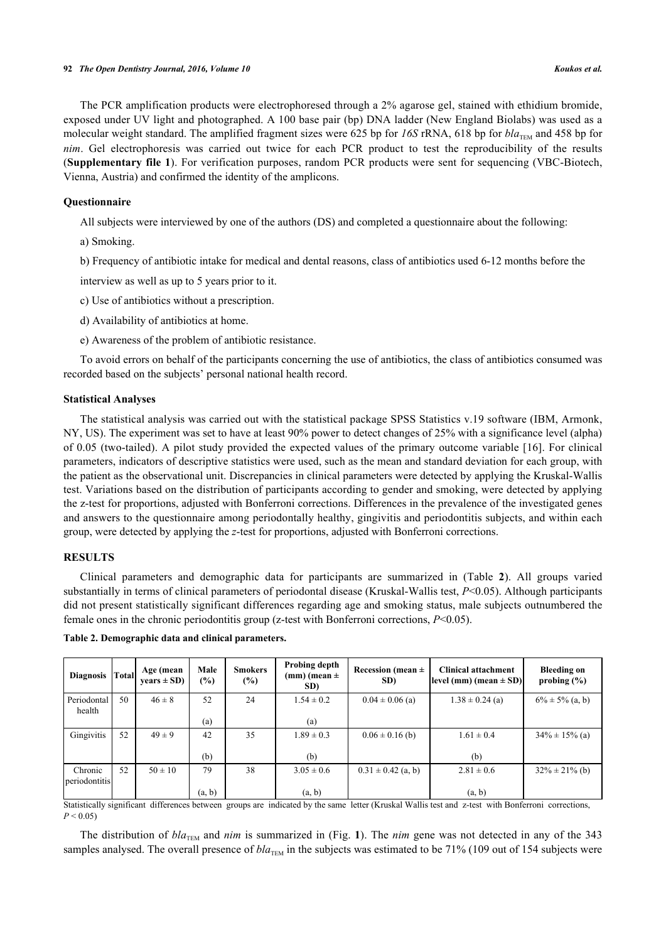The PCR amplification products were electrophoresed through a 2% agarose gel, stained with ethidium bromide, exposed under UV light and photographed. A 100 base pair (bp) DNA ladder (New England Biolabs) was used as a molecular weight standard. The amplified fragment sizes were 625 bp for  $16S$  rRNA, 618 bp for  $bla_{\text{TEM}}$  and 458 bp for *nim*. Gel electrophoresis was carried out twice for each PCR product to test the reproducibility of the results (**Supplementary file [1](http://192.168.111.2/oa/TODENTJ-10-160210001_SD1.pdf)**). For verification purposes, random PCR products were sent for sequencing (VBC-Biotech, Vienna, Austria) and confirmed the identity of the amplicons.

# **Questionnaire**

All subjects were interviewed by one of the authors (DS) and completed a questionnaire about the following:

a) Smoking.

b) Frequency of antibiotic intake for medical and dental reasons, class of antibiotics used 6-12 months before the

interview as well as up to 5 years prior to it.

- c) Use of antibiotics without a prescription.
- d) Availability of antibiotics at home.
- e) Awareness of the problem of antibiotic resistance.

To avoid errors on behalf of the participants concerning the use of antibiotics, the class of antibiotics consumed was recorded based on the subjects' personal national health record.

### **Statistical Analyses**

The statistical analysis was carried out with the statistical package SPSS Statistics v.19 software (IBM, Armonk, NY, US). The experiment was set to have at least 90% power to detect changes of 25% with a significance level (alpha) of 0.05 (two-tailed). A pilot study provided the expected values of the primary outcome variable [[16](#page-8-4)]. For clinical parameters, indicators of descriptive statistics were used, such as the mean and standard deviation for each group, with the patient as the observational unit. Discrepancies in clinical parameters were detected by applying the Kruskal-Wallis test. Variations based on the distribution of participants according to gender and smoking, were detected by applying the z-test for proportions, adjusted with Bonferroni corrections. Differences in the prevalence of the investigated genes and answers to the questionnaire among periodontally healthy, gingivitis and periodontitis subjects, and within each group, were detected by applying the *z*-test for proportions, adjusted with Bonferroni corrections.

# **RESULTS**

Clinical parameters and demographic data for participants are summarized in (Table**2**). All groups varied substantially in terms of clinical parameters of periodontal disease (Kruskal-Wallis test, *P*<0.05). Although participants did not present statistically significant differences regarding age and smoking status, male subjects outnumbered the female ones in the chronic periodontitis group (z-test with Bonferroni corrections, *P*<0.05).

<span id="page-3-0"></span>

| Table 2. Demographic data and clinical parameters. |  |  |
|----------------------------------------------------|--|--|
|                                                    |  |  |

| <b>Diagnosis</b>         | Total | Age (mean<br>$years \pm SD)$ | Male<br>(%) | <b>Smokers</b><br>$(\%)$ | Probing depth<br>$(mm)$ (mean $\pm$<br>SD) | Recession (mean $\pm$<br>SD) | <b>Clinical attachment</b><br>$ level (mm) (mean \pm SD) $ | <b>Bleeding on</b><br>probing $(\% )$ |
|--------------------------|-------|------------------------------|-------------|--------------------------|--------------------------------------------|------------------------------|------------------------------------------------------------|---------------------------------------|
| Periodontal<br>health    | 50    | $46 \pm 8$                   | 52          | 24                       | $1.54 \pm 0.2$                             | $0.04 \pm 0.06$ (a)          | $1.38 \pm 0.24$ (a)                                        | $6\% \pm 5\%$ (a, b)                  |
|                          |       |                              | (a)         |                          | (a)                                        |                              |                                                            |                                       |
| Gingivitis               | 52    | $49 \pm 9$                   | 42          | 35                       | $1.89 \pm 0.3$                             | $0.06 \pm 0.16$ (b)          | $1.61 \pm 0.4$                                             | $34\% \pm 15\%$ (a)                   |
|                          |       |                              | (b)         |                          | (b)                                        |                              | (b)                                                        |                                       |
| Chronic<br>periodontitis | 52    | $50 \pm 10$                  | 79          | 38                       | $3.05 \pm 0.6$                             | $0.31 \pm 0.42$ (a, b)       | $2.81 \pm 0.6$                                             | $32\% \pm 21\%$ (b)                   |
|                          |       |                              | (a, b)      |                          | (a, b)                                     |                              | (a, b)                                                     |                                       |

Statistically significant differences between groups are indicated by the same letter (Kruskal Wallis test and z-test with Bonferroni corrections,  $P < 0.05$ 

The distribution of  $bla_{\text{TEM}}$  and *nim* is summarized in (Fig. [1](#page-4-0)). The *nim* gene was not detected in any of the 343 samples analysed. The overall presence of *bla*<sub>TEM</sub> in the subjects was estimated to be 71% (109 out of 154 subjects were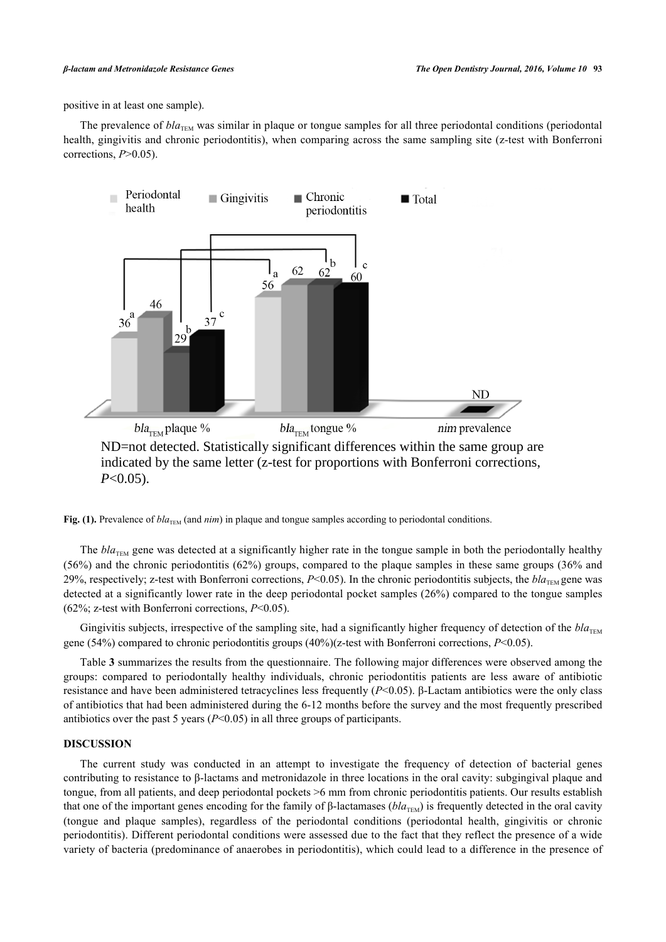positive in at least one sample).

<span id="page-4-0"></span>The prevalence of  $bla_{\text{TEM}}$  was similar in plaque or tongue samples for all three periodontal conditions (periodontal health, gingivitis and chronic periodontitis), when comparing across the same sampling site (z-test with Bonferroni corrections, *P*>0.05).



ND=not detected. Statistically significant differences within the same group are indicated by the same letter (z-test for proportions with Bonferroni corrections, *P*<0.05).

Fig. (1). Prevalence of  $bla_{\text{TEM}}$  (and *nim*) in plaque and tongue samples according to periodontal conditions.

The *bla*<sub>TEM</sub> gene was detected at a significantly higher rate in the tongue sample in both the periodontally healthy (56%) and the chronic periodontitis (62%) groups, compared to the plaque samples in these same groups (36% and 29%, respectively; z-test with Bonferroni corrections, *P*<0.05). In the chronic periodontitis subjects, the *bla*<sub>TEM</sub> gene was detected at a significantly lower rate in the deep periodontal pocket samples (26%) compared to the tongue samples (62%; z-test with Bonferroni corrections, *P*<0.05).

Gingivitis subjects, irrespective of the sampling site, had a significantly higher frequency of detection of the  $bla_{\text{TEM}}$ gene (54%) compared to chronic periodontitis groups (40%)(z-test with Bonferroni corrections, *P*<0.05).

Table **[3](#page-5-0)** summarizes the results from the questionnaire. The following major differences were observed among the groups: compared to periodontally healthy individuals, chronic periodontitis patients are less aware of antibiotic resistance and have been administered tetracyclines less frequently (*P*<0.05). β-Lactam antibiotics were the only class of antibiotics that had been administered during the 6-12 months before the survey and the most frequently prescribed antibiotics over the past 5 years  $(P<0.05)$  in all three groups of participants.

# **DISCUSSION**

The current study was conducted in an attempt to investigate the frequency of detection of bacterial genes contributing to resistance to β-lactams and metronidazole in three locations in the oral cavity: subgingival plaque and tongue, from all patients, and deep periodontal pockets >6 mm from chronic periodontitis patients. Our results establish that one of the important genes encoding for the family of β-lactamases ( $bla<sub>TFM</sub>$ ) is frequently detected in the oral cavity (tongue and plaque samples), regardless of the periodontal conditions (periodontal health, gingivitis or chronic periodontitis). Different periodontal conditions were assessed due to the fact that they reflect the presence of a wide variety of bacteria (predominance of anaerobes in periodontitis), which could lead to a difference in the presence of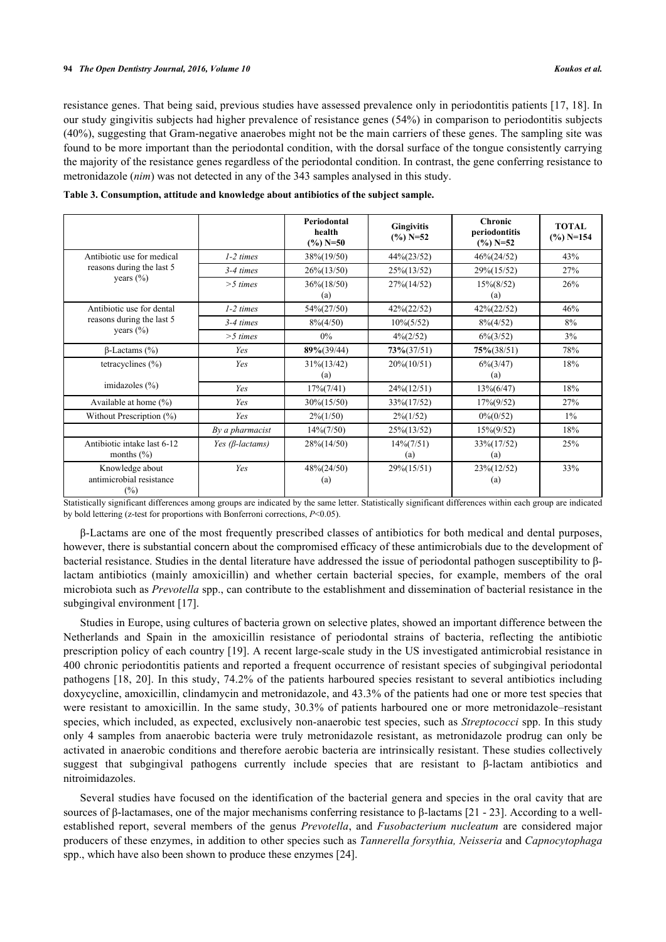resistance genes. That being said, previous studies have assessed prevalence only in periodontitis patients [[17,](#page-8-5) [18](#page-8-6)]. In our study gingivitis subjects had higher prevalence of resistance genes (54%) in comparison to periodontitis subjects (40%), suggesting that Gram-negative anaerobes might not be the main carriers of these genes. The sampling site was found to be more important than the periodontal condition, with the dorsal surface of the tongue consistently carrying the majority of the resistance genes regardless of the periodontal condition. In contrast, the gene conferring resistance to metronidazole (*nim*) was not detected in any of the 343 samples analysed in this study.

|                                                       |                         | Periodontal<br>health<br>$(\%)$ N=50 | <b>Gingivitis</b><br>$(\%)$ N=52 | <b>Chronic</b><br>periodontitis<br>$(\frac{9}{6})$ N=52 | <b>TOTAL</b><br>$(\frac{9}{6})$ N=154 |
|-------------------------------------------------------|-------------------------|--------------------------------------|----------------------------------|---------------------------------------------------------|---------------------------------------|
| Antibiotic use for medical                            | $1-2$ times             | 38%(19/50)                           | $44\% (23/52)$                   | $46\%(24/52)$                                           | 43%                                   |
| reasons during the last 5                             | $3-4 \ times$           | $26\frac{6}{13/50}$                  | $25\% (13/52)$                   | 29%(15/52)                                              | 27%                                   |
| years $(\% )$                                         | $>$ 5 times             | $36\frac{6}{18/50}$<br>(a)           | 27% (14/52)                      | $15\% (8/52)$<br>(a)                                    | 26%                                   |
| Antibiotic use for dental                             | $1-2$ times             | 54%(27/50)                           | $42\%(22/52)$                    | 42%(22/52)                                              | 46%                                   |
| reasons during the last 5                             | $3-4$ times             | $8\%/4/50)$                          | $10\% (5/52)$                    | $8\frac{6}{4}$ (4/52)                                   | 8%                                    |
| years (%)                                             | $>$ 5 times             | $0\%$                                | $4\frac{6(2/52)}{2}$             | $6\frac{6}{3}$ (3/52)                                   | 3%                                    |
| $\beta$ -Lactams (%)                                  | Yes                     | $89\%/39/44)$                        | $73\%(37/51)$                    | $75\% (38/51)$                                          | 78%                                   |
| tetracyclines $(\% )$                                 | Yes                     | $31\frac{6(13/42)}{6}$<br>(a)        | $20\% (10/51)$                   | $6\frac{6}{3}/47$<br>(a)                                | 18%                                   |
| imidazoles $(\% )$                                    | Yes                     | $17\% (7/41)$                        | $24\frac{6(12/51)}{6}$           | $13\%(6/47)$                                            | 18%                                   |
| Available at home $(\% )$                             | Yes                     | $30\frac{6(15/50)}{6}$               | 33% (17/52)                      | $17\% (9/52)$                                           | 27%                                   |
| Without Prescription (%)                              | Yes                     | $2\frac{6(1/50)}{2}$                 | $2\frac{6(1/52)}{2}$             | $0\% (0/52)$                                            | $1\%$                                 |
|                                                       | By a pharmacist         | $14\% (7/50)$                        | $25\% (13/52)$                   | $15\%(9/52)$                                            | 18%                                   |
| Antibiotic intake last 6-12<br>months $(\% )$         | Yes ( $\beta$ -lactams) | $28\%(14/50)$                        | $14\% (7/51)$<br>(a)             | 33%(17/52)<br>(a)                                       | 25%                                   |
| Knowledge about<br>antimicrobial resistance<br>$(\%)$ | Yes                     | $48\%(24/50)$<br>(a)                 | 29%(15/51)                       | 23%(12/52)<br>(a)                                       | 33%                                   |

<span id="page-5-0"></span>**Table 3. Consumption, attitude and knowledge about antibiotics of the subject sample.**

Statistically significant differences among groups are indicated by the same letter. Statistically significant differences within each group are indicated by bold lettering (z-test for proportions with Bonferroni corrections, *P*<0.05).

β-Lactams are one of the most frequently prescribed classes of antibiotics for both medical and dental purposes, however, there is substantial concern about the compromised efficacy of these antimicrobials due to the development of bacterial resistance. Studies in the dental literature have addressed the issue of periodontal pathogen susceptibility to βlactam antibiotics (mainly amoxicillin) and whether certain bacterial species, for example, members of the oral microbiota such as *Prevotella* spp., can contribute to the establishment and dissemination of bacterial resistance in the subgingival environment [\[17](#page-8-5)].

Studies in Europe, using cultures of bacteria grown on selective plates, showed an important difference between the Netherlands and Spain in the amoxicillin resistance of periodontal strains of bacteria, reflecting the antibiotic prescription policy of each country [[19](#page-8-7)]. A recent large-scale study in the US investigated antimicrobial resistance in 400 chronic periodontitis patients and reported a frequent occurrence of resistant species of subgingival periodontal pathogens [\[18](#page-8-6), [20\]](#page-8-8). In this study, 74.2% of the patients harboured species resistant to several antibiotics including doxycycline, amoxicillin, clindamycin and metronidazole, and 43.3% of the patients had one or more test species that were resistant to amoxicillin. In the same study, 30.3% of patients harboured one or more metronidazole–resistant species, which included, as expected, exclusively non-anaerobic test species, such as *Streptococci* spp. In this study only 4 samples from anaerobic bacteria were truly metronidazole resistant, as metronidazole prodrug can only be activated in anaerobic conditions and therefore aerobic bacteria are intrinsically resistant. These studies collectively suggest that subgingival pathogens currently include species that are resistant to β-lactam antibiotics and nitroimidazoles.

Several studies have focused on the identification of the bacterial genera and species in the oral cavity that are sources of β-lactamases, one of the major mechanisms conferring resistance to β-lactams [\[21](#page-8-9) - [23\]](#page-8-10). According to a wellestablished report, several members of the genus *Prevotella*, and *Fusobacterium nucleatum* are considered major producers of these enzymes, in addition to other species such as *Tannerella forsythia, Neisseria* and *Capnocytophaga* spp., which have also been shown to produce these enzymes [[24\]](#page-8-11).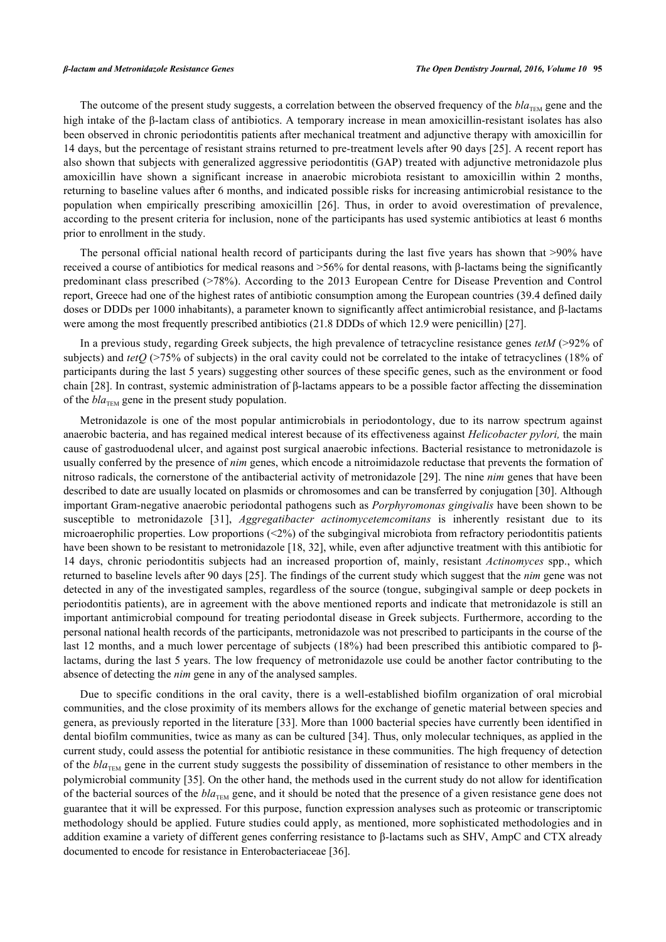The outcome of the present study suggests, a correlation between the observed frequency of the  $bla_{THM}$  gene and the high intake of the β-lactam class of antibiotics. A temporary increase in mean amoxicillin-resistant isolates has also been observed in chronic periodontitis patients after mechanical treatment and adjunctive therapy with amoxicillin for 14 days, but the percentage of resistant strains returned to pre-treatment levels after 90 days [[25](#page-8-12)]. A recent report has also shown that subjects with generalized aggressive periodontitis (GAP) treated with adjunctive metronidazole plus amoxicillin have shown a significant increase in anaerobic microbiota resistant to amoxicillin within 2 months, returning to baseline values after 6 months, and indicated possible risks for increasing antimicrobial resistance to the population when empirically prescribing amoxicillin [\[26\]](#page-8-13). Thus, in order to avoid overestimation of prevalence, according to the present criteria for inclusion, none of the participants has used systemic antibiotics at least 6 months prior to enrollment in the study.

The personal official national health record of participants during the last five years has shown that >90% have received a course of antibiotics for medical reasons and >56% for dental reasons, with β-lactams being the significantly predominant class prescribed (>78%). According to the 2013 European Centre for Disease Prevention and Control report, Greece had one of the highest rates of antibiotic consumption among the European countries (39.4 defined daily doses or DDDs per 1000 inhabitants), a parameter known to significantly affect antimicrobial resistance, and β-lactams were among the most frequently prescribed antibiotics (21.8 DDDs of which 12.9 were penicillin) [[27\]](#page-8-14).

In a previous study, regarding Greek subjects, the high prevalence of tetracycline resistance genes *tetM* (>92% of subjects) and *tetO* (>75% of subjects) in the oral cavity could not be correlated to the intake of tetracyclines (18% of participants during the last 5 years) suggesting other sources of these specific genes, such as the environment or food chain [[28\]](#page-8-15). In contrast, systemic administration of β-lactams appears to be a possible factor affecting the dissemination of the  $bla_{TEM}$  gene in the present study population.

Metronidazole is one of the most popular antimicrobials in periodontology, due to its narrow spectrum against anaerobic bacteria, and has regained medical interest because of its effectiveness against *Helicobacter pylori,* the main cause of gastroduodenal ulcer, and against post surgical anaerobic infections. Bacterial resistance to metronidazole is usually conferred by the presence of *nim* genes, which encode a nitroimidazole reductase that prevents the formation of nitroso radicals, the cornerstone of the antibacterial activity of metronidazole [\[29](#page-8-16)]. The nine *nim* genes that have been described to date are usually located on plasmids or chromosomes and can be transferred by conjugation [\[30](#page-8-17)]. Although important Gram-negative anaerobic periodontal pathogens such as *Porphyromonas gingivalis* have been shown to be susceptible to metronidazole [\[31](#page-8-18)], *Aggregatibacter actinomycetemcomitans* is inherently resistant due to its microaerophilic properties. Low proportions  $(\leq 2\%)$  of the subgingival microbiota from refractory periodontitis patients have been shown to be resistant to metronidazole [[18,](#page-8-6) [32\]](#page-9-0), while, even after adjunctive treatment with this antibiotic for 14 days, chronic periodontitis subjects had an increased proportion of, mainly, resistant *Actinomyces* spp., which returned to baseline levels after 90 days [[25\]](#page-8-12). The findings of the current study which suggest that the *nim* gene was not detected in any of the investigated samples, regardless of the source (tongue, subgingival sample or deep pockets in periodontitis patients), are in agreement with the above mentioned reports and indicate that metronidazole is still an important antimicrobial compound for treating periodontal disease in Greek subjects. Furthermore, according to the personal national health records of the participants, metronidazole was not prescribed to participants in the course of the last 12 months, and a much lower percentage of subjects (18%) had been prescribed this antibiotic compared to βlactams, during the last 5 years. The low frequency of metronidazole use could be another factor contributing to the absence of detecting the *nim* gene in any of the analysed samples.

Due to specific conditions in the oral cavity, there is a well-established biofilm organization of oral microbial communities, and the close proximity of its members allows for the exchange of genetic material between species and genera, as previously reported in the literature [\[33](#page-9-1)]. More than 1000 bacterial species have currently been identified in dental biofilm communities, twice as many as can be cultured [[34](#page-9-2)]. Thus, only molecular techniques, as applied in the current study, could assess the potential for antibiotic resistance in these communities. The high frequency of detection of the *bla*<sub>TEM</sub> gene in the current study suggests the possibility of dissemination of resistance to other members in the polymicrobial community [[35\]](#page-9-3). On the other hand, the methods used in the current study do not allow for identification of the bacterial sources of the  $bla_{TFM}$  gene, and it should be noted that the presence of a given resistance gene does not guarantee that it will be expressed. For this purpose, function expression analyses such as proteomic or transcriptomic methodology should be applied. Future studies could apply, as mentioned, more sophisticated methodologies and in addition examine a variety of different genes conferring resistance to β-lactams such as SHV, AmpC and CTX already documented to encode for resistance in Enterobacteriaceae [\[36](#page-9-4)].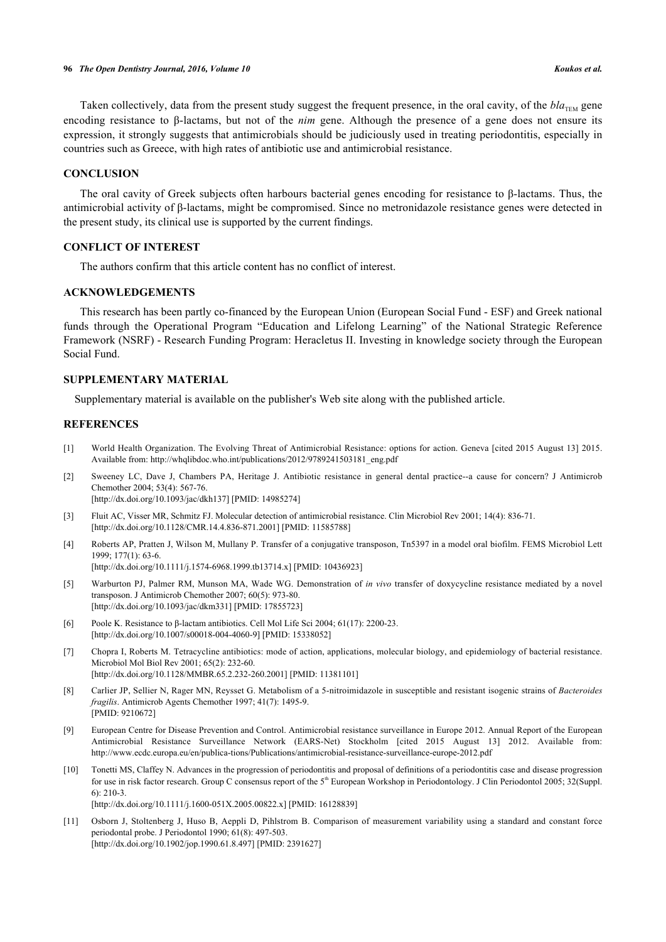Taken collectively, data from the present study suggest the frequent presence, in the oral cavity, of the  $bla_{\text{TEM}}$  gene encoding resistance to β-lactams, but not of the *nim* gene. Although the presence of a gene does not ensure its expression, it strongly suggests that antimicrobials should be judiciously used in treating periodontitis, especially in countries such as Greece, with high rates of antibiotic use and antimicrobial resistance.

# **CONCLUSION**

The oral cavity of Greek subjects often harbours bacterial genes encoding for resistance to β-lactams. Thus, the antimicrobial activity of β-lactams, might be compromised. Since no metronidazole resistance genes were detected in the present study, its clinical use is supported by the current findings.

# **CONFLICT OF INTEREST**

The authors confirm that this article content has no conflict of interest.

# **ACKNOWLEDGEMENTS**

This research has been partly co-financed by the European Union (European Social Fund - ESF) and Greek national funds through the Operational Program "Education and Lifelong Learning" of the National Strategic Reference Framework (NSRF) - Research Funding Program: Heracletus II. Investing in knowledge society through the European Social Fund.

# **SUPPLEMENTARY MATERIAL**

Supplementary material is available on the publisher's Web site along with the published article.

# **REFERENCES**

- <span id="page-7-0"></span>[1] World Health Organization. The Evolving Threat of Antimicrobial Resistance: options for action. Geneva [cited 2015 August 13] 2015. Available from: [http://whqlibdoc.who.int/publications/2012/9789241503181\\_eng.pdf](http://whqlibdoc.who.int/publications/2012/9789241503181_eng.pdf)
- <span id="page-7-1"></span>[2] Sweeney LC, Dave J, Chambers PA, Heritage J. Antibiotic resistance in general dental practice--a cause for concern? J Antimicrob Chemother 2004; 53(4): 567-76. [\[http://dx.doi.org/10.1093/jac/dkh137](http://dx.doi.org/10.1093/jac/dkh137)] [PMID: [14985274\]](http://www.ncbi.nlm.nih.gov/pubmed/14985274)
- <span id="page-7-2"></span>[3] Fluit AC, Visser MR, Schmitz FJ. Molecular detection of antimicrobial resistance. Clin Microbiol Rev 2001; 14(4): 836-71. [\[http://dx.doi.org/10.1128/CMR.14.4.836-871.2001](http://dx.doi.org/10.1128/CMR.14.4.836-871.2001)] [PMID: [11585788\]](http://www.ncbi.nlm.nih.gov/pubmed/11585788)
- <span id="page-7-3"></span>[4] Roberts AP, Pratten J, Wilson M, Mullany P. Transfer of a conjugative transposon, Tn5397 in a model oral biofilm. FEMS Microbiol Lett 1999; 177(1): 63-6. [\[http://dx.doi.org/10.1111/j.1574-6968.1999.tb13714.x\]](http://dx.doi.org/10.1111/j.1574-6968.1999.tb13714.x) [PMID: [10436923](http://www.ncbi.nlm.nih.gov/pubmed/10436923)]
- <span id="page-7-4"></span>[5] Warburton PJ, Palmer RM, Munson MA, Wade WG. Demonstration of *in vivo* transfer of doxycycline resistance mediated by a novel transposon. J Antimicrob Chemother 2007; 60(5): 973-80. [\[http://dx.doi.org/10.1093/jac/dkm331\]](http://dx.doi.org/10.1093/jac/dkm331) [PMID: [17855723](http://www.ncbi.nlm.nih.gov/pubmed/17855723)]
- <span id="page-7-5"></span>[6] Poole K. Resistance to β-lactam antibiotics. Cell Mol Life Sci 2004; 61(17): 2200-23. [\[http://dx.doi.org/10.1007/s00018-004-4060-9\]](http://dx.doi.org/10.1007/s00018-004-4060-9) [PMID: [15338052](http://www.ncbi.nlm.nih.gov/pubmed/15338052)]
- <span id="page-7-6"></span>[7] Chopra I, Roberts M. Tetracycline antibiotics: mode of action, applications, molecular biology, and epidemiology of bacterial resistance. Microbiol Mol Biol Rev 2001; 65(2): 232-60. [\[http://dx.doi.org/10.1128/MMBR.65.2.232-260.2001](http://dx.doi.org/10.1128/MMBR.65.2.232-260.2001)] [PMID: [11381101\]](http://www.ncbi.nlm.nih.gov/pubmed/11381101)
- <span id="page-7-7"></span>[8] Carlier JP, Sellier N, Rager MN, Reysset G. Metabolism of a 5-nitroimidazole in susceptible and resistant isogenic strains of *Bacteroides fragilis*. Antimicrob Agents Chemother 1997; 41(7): 1495-9. [PMID: [9210672\]](http://www.ncbi.nlm.nih.gov/pubmed/9210672)
- <span id="page-7-8"></span>[9] European Centre for Disease Prevention and Control. Antimicrobial resistance surveillance in Europe 2012. Annual Report of the European Antimicrobial Resistance Surveillance Network (EARS-Net) Stockholm [cited 2015 August 13] 2012. Available from: <http://www.ecdc.europa.eu/en/publica-tions/Publications/antimicrobial-resistance-surveillance-europe-2012.pdf>
- <span id="page-7-9"></span>[10] Tonetti MS, Claffey N. Advances in the progression of periodontitis and proposal of definitions of a periodontitis case and disease progression for use in risk factor research. Group C consensus report of the 5<sup>th</sup> European Workshop in Periodontology. J Clin Periodontol 2005; 32(Suppl. 6): 210-3.

[\[http://dx.doi.org/10.1111/j.1600-051X.2005.00822.x](http://dx.doi.org/10.1111/j.1600-051X.2005.00822.x)] [PMID: [16128839](http://www.ncbi.nlm.nih.gov/pubmed/16128839)]

<span id="page-7-10"></span>[11] Osborn J, Stoltenberg J, Huso B, Aeppli D, Pihlstrom B. Comparison of measurement variability using a standard and constant force periodontal probe. J Periodontol 1990; 61(8): 497-503. [\[http://dx.doi.org/10.1902/jop.1990.61.8.497](http://dx.doi.org/10.1902/jop.1990.61.8.497)] [PMID: [2391627\]](http://www.ncbi.nlm.nih.gov/pubmed/2391627)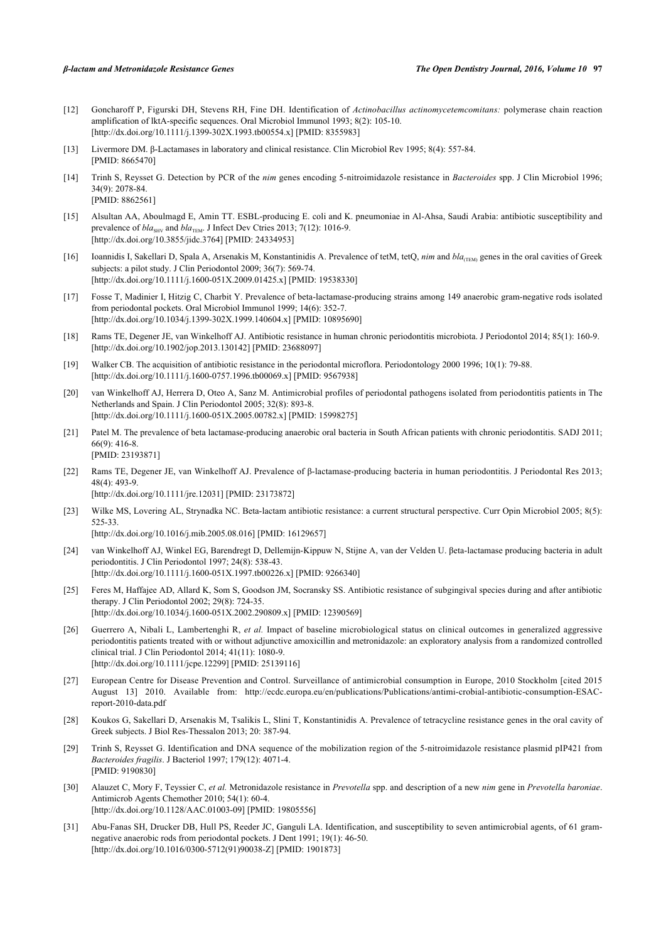- <span id="page-8-0"></span>[12] Goncharoff P, Figurski DH, Stevens RH, Fine DH. Identification of *Actinobacillus actinomycetemcomitans:* polymerase chain reaction amplification of lktA-specific sequences. Oral Microbiol Immunol 1993; 8(2): 105-10. [\[http://dx.doi.org/10.1111/j.1399-302X.1993.tb00554.x\]](http://dx.doi.org/10.1111/j.1399-302X.1993.tb00554.x) [PMID: [8355983](http://www.ncbi.nlm.nih.gov/pubmed/8355983)]
- <span id="page-8-1"></span>[13] Livermore DM. β-Lactamases in laboratory and clinical resistance. Clin Microbiol Rev 1995; 8(4): 557-84. [PMID: [8665470\]](http://www.ncbi.nlm.nih.gov/pubmed/8665470)
- <span id="page-8-2"></span>[14] Trinh S, Reysset G. Detection by PCR of the *nim* genes encoding 5-nitroimidazole resistance in *Bacteroides* spp. J Clin Microbiol 1996; 34(9): 2078-84. [PMID: [8862561\]](http://www.ncbi.nlm.nih.gov/pubmed/8862561)
- <span id="page-8-3"></span>[15] Alsultan AA, Aboulmagd E, Amin TT. ESBL-producing E. coli and K. pneumoniae in Al-Ahsa, Saudi Arabia: antibiotic susceptibility and prevalence of  $bla<sub>SHV</sub>$  and  $bla<sub>TEM</sub>$ . J Infect Dev Ctries 2013; 7(12): 1016-9. [\[http://dx.doi.org/10.3855/jidc.3764\]](http://dx.doi.org/10.3855/jidc.3764) [PMID: [24334953](http://www.ncbi.nlm.nih.gov/pubmed/24334953)]
- <span id="page-8-4"></span>[16] Ioannidis I, Sakellari D, Spala A, Arsenakis M, Konstantinidis A. Prevalence of tetM, tetQ, *nim* and *bla*<sub>CEM</sub> genes in the oral cavities of Greek subjects: a pilot study. J Clin Periodontol 2009; 36(7): 569-74. [\[http://dx.doi.org/10.1111/j.1600-051X.2009.01425.x](http://dx.doi.org/10.1111/j.1600-051X.2009.01425.x)] [PMID: [19538330](http://www.ncbi.nlm.nih.gov/pubmed/19538330)]
- <span id="page-8-5"></span>[17] Fosse T, Madinier I, Hitzig C, Charbit Y. Prevalence of beta-lactamase-producing strains among 149 anaerobic gram-negative rods isolated from periodontal pockets. Oral Microbiol Immunol 1999; 14(6): 352-7. [\[http://dx.doi.org/10.1034/j.1399-302X.1999.140604.x](http://dx.doi.org/10.1034/j.1399-302X.1999.140604.x)] [PMID: [10895690](http://www.ncbi.nlm.nih.gov/pubmed/10895690)]
- <span id="page-8-6"></span>[18] Rams TE, Degener JE, van Winkelhoff AJ. Antibiotic resistance in human chronic periodontitis microbiota. J Periodontol 2014; 85(1): 160-9. [\[http://dx.doi.org/10.1902/jop.2013.130142](http://dx.doi.org/10.1902/jop.2013.130142)] [PMID: [23688097\]](http://www.ncbi.nlm.nih.gov/pubmed/23688097)
- <span id="page-8-7"></span>[19] Walker CB. The acquisition of antibiotic resistance in the periodontal microflora. Periodontology 2000 1996; 10(1): 79-88. [\[http://dx.doi.org/10.1111/j.1600-0757.1996.tb00069.x\]](http://dx.doi.org/10.1111/j.1600-0757.1996.tb00069.x) [PMID: [9567938](http://www.ncbi.nlm.nih.gov/pubmed/9567938)]
- <span id="page-8-8"></span>[20] van Winkelhoff AJ, Herrera D, Oteo A, Sanz M. Antimicrobial profiles of periodontal pathogens isolated from periodontitis patients in The Netherlands and Spain. J Clin Periodontol 2005; 32(8): 893-8. [\[http://dx.doi.org/10.1111/j.1600-051X.2005.00782.x](http://dx.doi.org/10.1111/j.1600-051X.2005.00782.x)] [PMID: [15998275](http://www.ncbi.nlm.nih.gov/pubmed/15998275)]
- <span id="page-8-9"></span>[21] Patel M. The prevalence of beta lactamase-producing anaerobic oral bacteria in South African patients with chronic periodontitis. SADJ 2011; 66(9): 416-8. [PMID: [23193871\]](http://www.ncbi.nlm.nih.gov/pubmed/23193871)
- [22] Rams TE, Degener JE, van Winkelhoff AJ. Prevalence of β-lactamase-producing bacteria in human periodontitis. J Periodontal Res 2013; 48(4): 493-9. [\[http://dx.doi.org/10.1111/jre.12031](http://dx.doi.org/10.1111/jre.12031)] [PMID: [23173872\]](http://www.ncbi.nlm.nih.gov/pubmed/23173872)
- <span id="page-8-10"></span>[23] Wilke MS, Lovering AL, Strynadka NC. Beta-lactam antibiotic resistance: a current structural perspective. Curr Opin Microbiol 2005; 8(5): 525-33. [\[http://dx.doi.org/10.1016/j.mib.2005.08.016](http://dx.doi.org/10.1016/j.mib.2005.08.016)] [PMID: [16129657](http://www.ncbi.nlm.nih.gov/pubmed/16129657)]
- 
- <span id="page-8-11"></span>[24] van Winkelhoff AJ, Winkel EG, Barendregt D, Dellemijn-Kippuw N, Stijne A, van der Velden U. βeta-lactamase producing bacteria in adult periodontitis. J Clin Periodontol 1997; 24(8): 538-43. [\[http://dx.doi.org/10.1111/j.1600-051X.1997.tb00226.x\]](http://dx.doi.org/10.1111/j.1600-051X.1997.tb00226.x) [PMID: [9266340](http://www.ncbi.nlm.nih.gov/pubmed/9266340)]
- <span id="page-8-12"></span>[25] Feres M, Haffajee AD, Allard K, Som S, Goodson JM, Socransky SS. Antibiotic resistance of subgingival species during and after antibiotic therapy. J Clin Periodontol 2002; 29(8): 724-35. [\[http://dx.doi.org/10.1034/j.1600-051X.2002.290809.x](http://dx.doi.org/10.1034/j.1600-051X.2002.290809.x)] [PMID: [12390569](http://www.ncbi.nlm.nih.gov/pubmed/12390569)]
- <span id="page-8-13"></span>[26] Guerrero A, Nibali L, Lambertenghi R, *et al.* Impact of baseline microbiological status on clinical outcomes in generalized aggressive periodontitis patients treated with or without adjunctive amoxicillin and metronidazole: an exploratory analysis from a randomized controlled clinical trial. J Clin Periodontol 2014; 41(11): 1080-9. [\[http://dx.doi.org/10.1111/jcpe.12299](http://dx.doi.org/10.1111/jcpe.12299)] [PMID: [25139116\]](http://www.ncbi.nlm.nih.gov/pubmed/25139116)
- <span id="page-8-14"></span>[27] European Centre for Disease Prevention and Control. Surveillance of antimicrobial consumption in Europe, 2010 Stockholm [cited 2015 August 13] 2010. Available from: [http://ecdc.europa.eu/en/publications/Publications/antimi-crobial-antibiotic-consumption-ESAC](http://ecdc.europa.eu/en/publications/Publications/antimi-crobial-antibiotic-consumption-ESAC-report-2010-data.pdf)[report-2010-data.pdf](http://ecdc.europa.eu/en/publications/Publications/antimi-crobial-antibiotic-consumption-ESAC-report-2010-data.pdf)
- <span id="page-8-15"></span>[28] Koukos G, Sakellari D, Arsenakis M, Tsalikis L, Slini T, Konstantinidis A. Prevalence of tetracycline resistance genes in the oral cavity of Greek subjects. J Biol Res-Thessalon 2013; 20: 387-94.
- <span id="page-8-16"></span>[29] Trinh S, Reysset G. Identification and DNA sequence of the mobilization region of the 5-nitroimidazole resistance plasmid pIP421 from *Bacteroides fragilis*. J Bacteriol 1997; 179(12): 4071-4. [PMID: [9190830\]](http://www.ncbi.nlm.nih.gov/pubmed/9190830)
- <span id="page-8-17"></span>[30] Alauzet C, Mory F, Teyssier C, *et al.* Metronidazole resistance in *Prevotella* spp. and description of a new *nim* gene in *Prevotella baroniae*. Antimicrob Agents Chemother 2010; 54(1): 60-4. [\[http://dx.doi.org/10.1128/AAC.01003-09](http://dx.doi.org/10.1128/AAC.01003-09)] [PMID: [19805556\]](http://www.ncbi.nlm.nih.gov/pubmed/19805556)
- <span id="page-8-18"></span>[31] Abu-Fanas SH, Drucker DB, Hull PS, Reeder JC, Ganguli LA. Identification, and susceptibility to seven antimicrobial agents, of 61 gramnegative anaerobic rods from periodontal pockets. J Dent 1991; 19(1): 46-50. [\[http://dx.doi.org/10.1016/0300-5712\(91\)90038-Z](http://dx.doi.org/10.1016/0300-5712(91)90038-Z)] [PMID: [1901873\]](http://www.ncbi.nlm.nih.gov/pubmed/1901873)